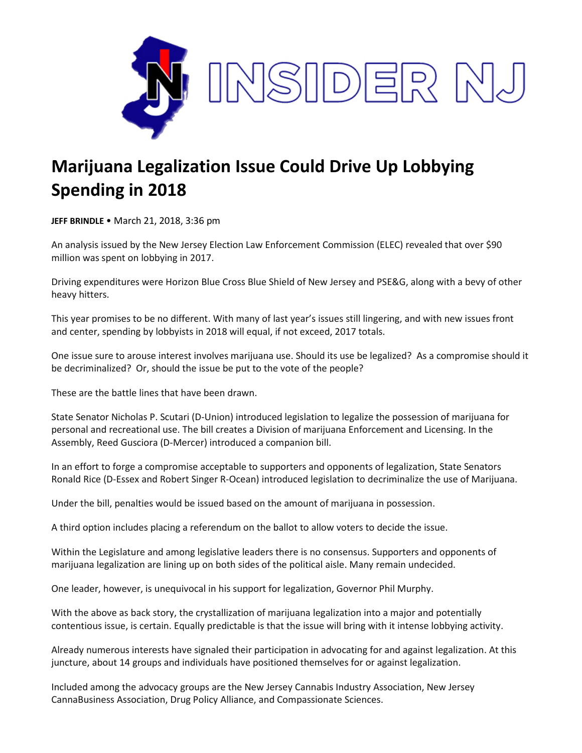

## **Marijuana Legalization Issue Could Drive Up Lobbying Spending in 2018**

**JEFF BRINDLE** • March 21, 2018, 3:36 pm

An analysis issued by the New Jersey Election Law Enforcement Commission (ELEC) revealed that over \$90 million was spent on lobbying in 2017.

Driving expenditures were Horizon Blue Cross Blue Shield of New Jersey and PSE&G, along with a bevy of other heavy hitters.

This year promises to be no different. With many of last year's issues still lingering, and with new issues front and center, spending by lobbyists in 2018 will equal, if not exceed, 2017 totals.

One issue sure to arouse interest involves marijuana use. Should its use be legalized? As a compromise should it be decriminalized? Or, should the issue be put to the vote of the people?

These are the battle lines that have been drawn.

State Senator Nicholas P. Scutari (D-Union) introduced legislation to legalize the possession of marijuana for personal and recreational use. The bill creates a Division of marijuana Enforcement and Licensing. In the Assembly, Reed Gusciora (D-Mercer) introduced a companion bill.

In an effort to forge a compromise acceptable to supporters and opponents of legalization, State Senators Ronald Rice (D-Essex and Robert Singer R-Ocean) introduced legislation to decriminalize the use of Marijuana.

Under the bill, penalties would be issued based on the amount of marijuana in possession.

A third option includes placing a referendum on the ballot to allow voters to decide the issue.

Within the Legislature and among legislative leaders there is no consensus. Supporters and opponents of marijuana legalization are lining up on both sides of the political aisle. Many remain undecided.

One leader, however, is unequivocal in his support for legalization, Governor Phil Murphy.

With the above as back story, the crystallization of marijuana legalization into a major and potentially contentious issue, is certain. Equally predictable is that the issue will bring with it intense lobbying activity.

Already numerous interests have signaled their participation in advocating for and against legalization. At this juncture, about 14 groups and individuals have positioned themselves for or against legalization.

Included among the advocacy groups are the New Jersey Cannabis Industry Association, New Jersey CannaBusiness Association, Drug Policy Alliance, and Compassionate Sciences.